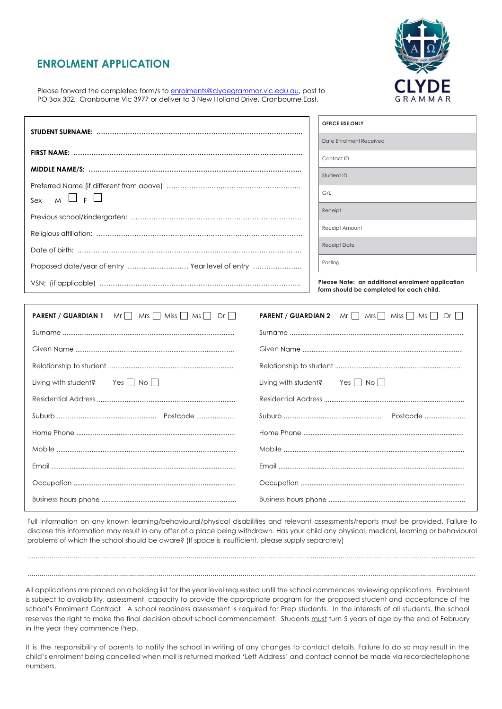## **ENROLMENT APPLICATION**



Please forward the completed form/s to [enrolments@clydegrammar.vic.edu.au](mailto:enrolments@clydegrammar.vic.edu.au), post to PO Box 302, Cranbourne Vic 3977 or deliver to 3 New Holland Drive, Cranbourne East.

|                                                      |                      | OFFICE USE ONLY                                                                              |  |
|------------------------------------------------------|----------------------|----------------------------------------------------------------------------------------------|--|
|                                                      |                      | Date Enrolment Received                                                                      |  |
|                                                      |                      | Contact ID                                                                                   |  |
|                                                      |                      | Student ID                                                                                   |  |
|                                                      |                      | G/L                                                                                          |  |
| $M \cup F$<br>Sex                                    |                      | Receipt                                                                                      |  |
|                                                      |                      |                                                                                              |  |
|                                                      |                      | Receipt Amount                                                                               |  |
|                                                      |                      | <b>Receipt Date</b>                                                                          |  |
| Proposed date/year of entry  Year level of entry     |                      | Posting                                                                                      |  |
|                                                      |                      | Please Note: an additional enrolment application<br>form should be completed for each child. |  |
|                                                      |                      |                                                                                              |  |
| <b>PARENT / GUARDIAN 1</b> Mr Mrs Miss Miss Ms Dr Dr |                      | <b>PARENT / GUARDIAN 2</b> Mr   Mrs   Miss   Ms   Dr                                         |  |
|                                                      |                      |                                                                                              |  |
|                                                      |                      |                                                                                              |  |
|                                                      |                      |                                                                                              |  |
|                                                      |                      |                                                                                              |  |
| Yes $\Box$ No $\Box$<br>Living with student?         | Living with student? | Yes $\Box$ No $\Box$                                                                         |  |
|                                                      |                      |                                                                                              |  |
|                                                      |                      |                                                                                              |  |
|                                                      |                      |                                                                                              |  |
|                                                      |                      |                                                                                              |  |
|                                                      |                      |                                                                                              |  |
|                                                      |                      |                                                                                              |  |

 $\mathbf{I}$ 

Full information on any known learning/behavioural/physical disabilities and relevant assessments/reports must be provided. Failure to disclose this information may result in any offer of a place being withdrawn. Has your child any physical, medical, learning or behavioural problems of which the school should be aware? (If space is insufficient, please supply separately)

Business Business

.................................................................................................................................................................................................................................

All applications are placed on a holding list for the year level requested until the school commences reviewing applications. Enrolment is subject to availability, assessment, capacity to provide the appropriate program for the proposed student and acceptance of the school's Enrolment Contract. A school readiness assessment is required for Prep students. In the interests of all students, the school reserves the right to make the final decision about school commencement. Students must turn 5 years of age by the end of February in the year they commence Prep.

.................................................................................................................................................................................................................................

It is the responsibility of parents to notify the school in writing of any changes to contact details. Failure to do so may result in the child's enrolment being cancelled when mail is returned marked 'Left Address' and contact cannot be made via recordedtelephone numbers.